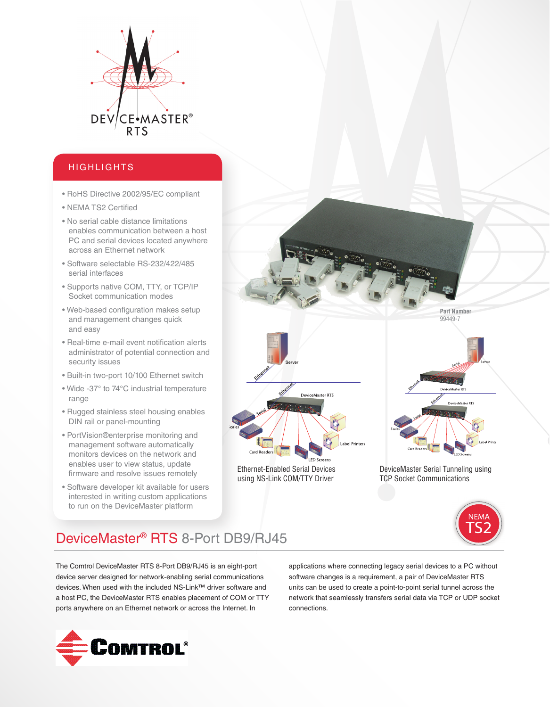

# HIGHLIGHTS

- RoHS Directive 2002/95/EC compliant
- NEMA TS2 Certified
- No serial cable distance limitations enables communication between a host PC and serial devices located anywhere across an Ethernet network
- Software selectable RS-232/422/485 serial interfaces
- Supports native COM, TTY, or TCP/IP Socket communication modes
- Web-based configuration makes setup and management changes quick and easy
- Real-time e-mail event notification alerts administrator of potential connection and security issues
- Built-in two-port 10/100 Ethernet switch
- Wide -37° to 74°C industrial temperature range
- Rugged stainless steel housing enables DIN rail or panel-mounting
- PortVision®enterprise monitoring and management software automatically monitors devices on the network and enables user to view status, update firmware and resolve issues remotely
- Software developer kit available for users interested in writing custom applications to run on the DeviceMaster platform

**Part Number** 99449-7 DeviceMaster RTS eMaster RTS Label Printers Card Readers Ethernet-Enabled Serial Devices

DeviceMaster Serial Tunneling using TCP Socket Communications



# DeviceMaster® RTS 8-Port DB9/RJ45

using NS-Link COM/TTY Driver

The Comtrol DeviceMaster RTS 8-Port DB9/RJ45 is an eight-port device server designed for network-enabling serial communications devices. When used with the included NS-Link™ driver software and a host PC, the DeviceMaster RTS enables placement of COM or TTY ports anywhere on an Ethernet network or across the Internet. In

applications where connecting legacy serial devices to a PC without software changes is a requirement, a pair of DeviceMaster RTS units can be used to create a point-to-point serial tunnel across the network that seamlessly transfers serial data via TCP or UDP socket connections.